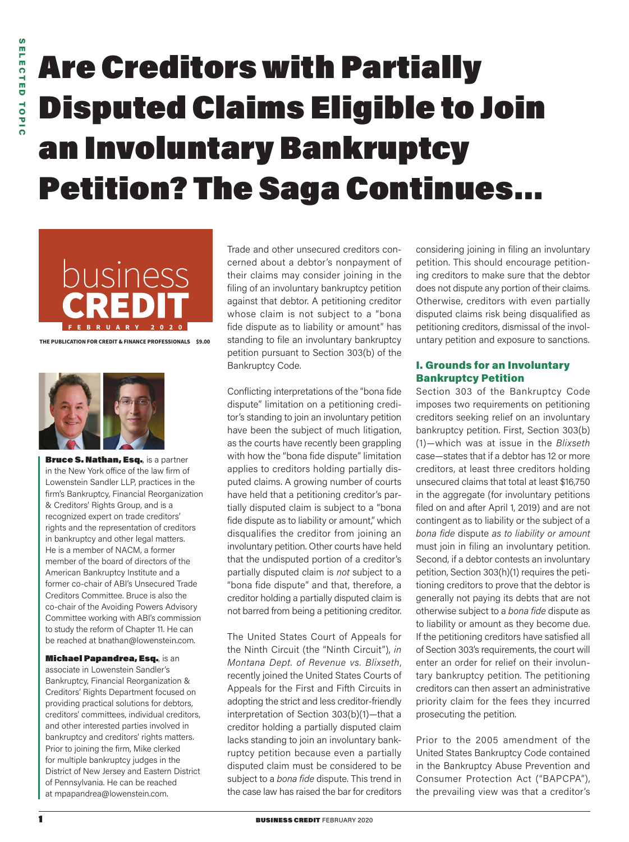# Are Creditors with Partially Disputed Claims Eligible to Join an Involuntary Bankruptcy Petition? The Saga Continues…



**THE PUBLICATION FOR CREDIT & FINANCE PROFESSIONALS \$9.00**



Bruce S. Nathan, Esq., is a partner in the New York office of the law firm of Lowenstein Sandler LLP, practices in the firm's Bankruptcy, Financial Reorganization & Creditors' Rights Group, and is a recognized expert on trade creditors' rights and the representation of creditors in bankruptcy and other legal matters. He is a member of NACM, a former member of the board of directors of the American Bankruptcy Institute and a former co-chair of ABI's Unsecured Trade Creditors Committee. Bruce is also the co-chair of the Avoiding Powers Advisory Committee working with ABI's commission to study the reform of Chapter 11. He can be reached at bnathan@lowenstein.com.

Michael Papandrea, Esq., is an associate in Lowenstein Sandler's Bankruptcy, Financial Reorganization & Creditors' Rights Department focused on providing practical solutions for debtors, creditors' committees, individual creditors, and other interested parties involved in bankruptcy and creditors' rights matters. Prior to joining the firm, Mike clerked for multiple bankruptcy judges in the District of New Jersey and Eastern District of Pennsylvania. He can be reached at mpapandrea@lowenstein.com.

Trade and other unsecured creditors concerned about a debtor's nonpayment of their claims may consider joining in the filing of an involuntary bankruptcy petition against that debtor. A petitioning creditor whose claim is not subject to a "bona fide dispute as to liability or amount" has standing to file an involuntary bankruptcy petition pursuant to Section 303(b) of the Bankruptcy Code.

Conflicting interpretations of the "bona fide dispute" limitation on a petitioning creditor's standing to join an involuntary petition have been the subject of much litigation, as the courts have recently been grappling with how the "bona fide dispute" limitation applies to creditors holding partially disputed claims. A growing number of courts have held that a petitioning creditor's partially disputed claim is subject to a "bona fide dispute as to liability or amount," which disqualifies the creditor from joining an involuntary petition. Other courts have held that the undisputed portion of a creditor's partially disputed claim is *not* subject to a "bona fide dispute" and that, therefore, a creditor holding a partially disputed claim is not barred from being a petitioning creditor.

The United States Court of Appeals for the Ninth Circuit (the "Ninth Circuit"), *in Montana Dept. of Revenue vs. Blixseth*, recently joined the United States Courts of Appeals for the First and Fifth Circuits in adopting the strict and less creditor-friendly interpretation of Section 303(b)(1)—that a creditor holding a partially disputed claim lacks standing to join an involuntary bankruptcy petition because even a partially disputed claim must be considered to be subject to a *bona fide* dispute. This trend in the case law has raised the bar for creditors

considering joining in filing an involuntary petition. This should encourage petitioning creditors to make sure that the debtor does not dispute any portion of their claims. Otherwise, creditors with even partially disputed claims risk being disqualified as petitioning creditors, dismissal of the involuntary petition and exposure to sanctions.

#### I. Grounds for an Involuntary Bankruptcy Petition

Section 303 of the Bankruptcy Code imposes two requirements on petitioning creditors seeking relief on an involuntary bankruptcy petition. First, Section 303(b) (1)—which was at issue in the *Blixseth* case—states that if a debtor has 12 or more creditors, at least three creditors holding unsecured claims that total at least \$16,750 in the aggregate (for involuntary petitions filed on and after April 1, 2019) and are not contingent as to liability or the subject of a *bona fide* dispute *as to liability or amount*  must join in filing an involuntary petition. Second, if a debtor contests an involuntary petition, Section 303(h)(1) requires the petitioning creditors to prove that the debtor is generally not paying its debts that are not otherwise subject to a *bona fide* dispute as to liability or amount as they become due. If the petitioning creditors have satisfied all of Section 303's requirements, the court will enter an order for relief on their involuntary bankruptcy petition. The petitioning creditors can then assert an administrative priority claim for the fees they incurred prosecuting the petition.

Prior to the 2005 amendment of the United States Bankruptcy Code contained in the Bankruptcy Abuse Prevention and Consumer Protection Act ("BAPCPA"), the prevailing view was that a creditor's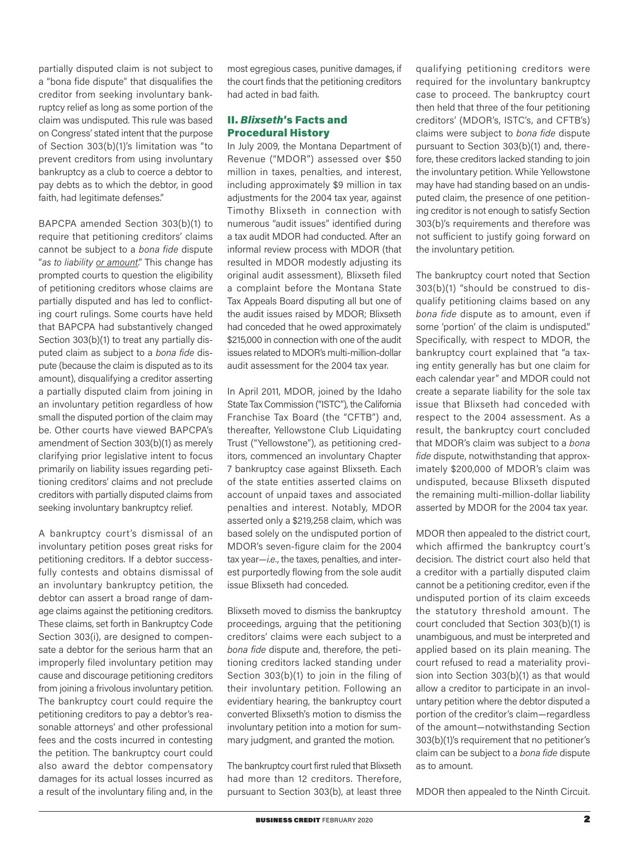partially disputed claim is not subject to a "bona fide dispute" that disqualifies the creditor from seeking involuntary bankruptcy relief as long as some portion of the claim was undisputed. This rule was based on Congress' stated intent that the purpose of Section 303(b)(1)'s limitation was "to prevent creditors from using involuntary bankruptcy as a club to coerce a debtor to pay debts as to which the debtor, in good faith, had legitimate defenses."

BAPCPA amended Section 303(b)(1) to require that petitioning creditors' claims cannot be subject to a *bona fide* dispute "*as to liability or amount*." This change has prompted courts to question the eligibility of petitioning creditors whose claims are partially disputed and has led to conflicting court rulings. Some courts have held that BAPCPA had substantively changed Section 303(b)(1) to treat any partially disputed claim as subject to a *bona fide* dispute (because the claim is disputed as to its amount), disqualifying a creditor asserting a partially disputed claim from joining in an involuntary petition regardless of how small the disputed portion of the claim may be. Other courts have viewed BAPCPA's amendment of Section 303(b)(1) as merely clarifying prior legislative intent to focus primarily on liability issues regarding petitioning creditors' claims and not preclude creditors with partially disputed claims from seeking involuntary bankruptcy relief.

A bankruptcy court's dismissal of an involuntary petition poses great risks for petitioning creditors. If a debtor successfully contests and obtains dismissal of an involuntary bankruptcy petition, the debtor can assert a broad range of damage claims against the petitioning creditors. These claims, set forth in Bankruptcy Code Section 303(i), are designed to compensate a debtor for the serious harm that an improperly filed involuntary petition may cause and discourage petitioning creditors from joining a frivolous involuntary petition. The bankruptcy court could require the petitioning creditors to pay a debtor's reasonable attorneys' and other professional fees and the costs incurred in contesting the petition. The bankruptcy court could also award the debtor compensatory damages for its actual losses incurred as a result of the involuntary filing and, in the

most egregious cases, punitive damages, if the court finds that the petitioning creditors had acted in bad faith.

### II. *Blixseth*'s Facts and Procedural History

In July 2009, the Montana Department of Revenue ("MDOR") assessed over \$50 million in taxes, penalties, and interest, including approximately \$9 million in tax adjustments for the 2004 tax year, against Timothy Blixseth in connection with numerous "audit issues" identified during a tax audit MDOR had conducted. After an informal review process with MDOR (that resulted in MDOR modestly adjusting its original audit assessment), Blixseth filed a complaint before the Montana State Tax Appeals Board disputing all but one of the audit issues raised by MDOR; Blixseth had conceded that he owed approximately \$215,000 in connection with one of the audit issues related to MDOR's multi-million-dollar audit assessment for the 2004 tax year.

In April 2011, MDOR, joined by the Idaho State Tax Commission ("ISTC"), the California Franchise Tax Board (the "CFTB") and, thereafter, Yellowstone Club Liquidating Trust ("Yellowstone"), as petitioning creditors, commenced an involuntary Chapter 7 bankruptcy case against Blixseth. Each of the state entities asserted claims on account of unpaid taxes and associated penalties and interest. Notably, MDOR asserted only a \$219,258 claim, which was based solely on the undisputed portion of MDOR's seven-figure claim for the 2004 tax year—*i.e.*, the taxes, penalties, and interest purportedly flowing from the sole audit issue Blixseth had conceded.

Blixseth moved to dismiss the bankruptcy proceedings, arguing that the petitioning creditors' claims were each subject to a *bona fide* dispute and, therefore, the petitioning creditors lacked standing under Section 303(b)(1) to join in the filing of their involuntary petition. Following an evidentiary hearing, the bankruptcy court converted Blixseth's motion to dismiss the involuntary petition into a motion for summary judgment, and granted the motion.

The bankruptcy court first ruled that Blixseth had more than 12 creditors. Therefore, pursuant to Section 303(b), at least three qualifying petitioning creditors were required for the involuntary bankruptcy case to proceed. The bankruptcy court then held that three of the four petitioning creditors' (MDOR's, ISTC's, and CFTB's) claims were subject to *bona fide* dispute pursuant to Section 303(b)(1) and, therefore, these creditors lacked standing to join the involuntary petition. While Yellowstone may have had standing based on an undisputed claim, the presence of one petitioning creditor is not enough to satisfy Section 303(b)'s requirements and therefore was not sufficient to justify going forward on the involuntary petition.

The bankruptcy court noted that Section 303(b)(1) "should be construed to disqualify petitioning claims based on any *bona fide* dispute as to amount, even if some 'portion' of the claim is undisputed." Specifically, with respect to MDOR, the bankruptcy court explained that "a taxing entity generally has but one claim for each calendar year" and MDOR could not create a separate liability for the sole tax issue that Blixseth had conceded with respect to the 2004 assessment. As a result, the bankruptcy court concluded that MDOR's claim was subject to a *bona fide* dispute, notwithstanding that approximately \$200,000 of MDOR's claim was undisputed, because Blixseth disputed the remaining multi-million-dollar liability asserted by MDOR for the 2004 tax year.

MDOR then appealed to the district court, which affirmed the bankruptcy court's decision. The district court also held that a creditor with a partially disputed claim cannot be a petitioning creditor, even if the undisputed portion of its claim exceeds the statutory threshold amount. The court concluded that Section 303(b)(1) is unambiguous, and must be interpreted and applied based on its plain meaning. The court refused to read a materiality provision into Section 303(b)(1) as that would allow a creditor to participate in an involuntary petition where the debtor disputed a portion of the creditor's claim—regardless of the amount—notwithstanding Section 303(b)(1)'s requirement that no petitioner's claim can be subject to a *bona fide* dispute as to amount.

MDOR then appealed to the Ninth Circuit.